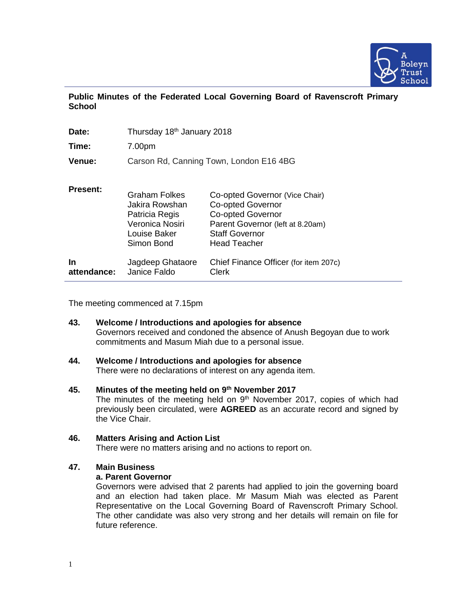

|               |  |  |  |  | Public Minutes of the Federated Local Governing Board of Ravenscroft Primary |  |
|---------------|--|--|--|--|------------------------------------------------------------------------------|--|
| <b>School</b> |  |  |  |  |                                                                              |  |

| Date:                    | Thursday 18 <sup>th</sup> January 2018                                                                    |                                                                                                                                                                            |
|--------------------------|-----------------------------------------------------------------------------------------------------------|----------------------------------------------------------------------------------------------------------------------------------------------------------------------------|
| Time:                    | 7.00pm                                                                                                    |                                                                                                                                                                            |
| Venue:                   |                                                                                                           | Carson Rd, Canning Town, London E16 4BG                                                                                                                                    |
| <b>Present:</b>          | <b>Graham Folkes</b><br>Jakira Rowshan<br>Patricia Regis<br>Veronica Nosiri<br>Louise Baker<br>Simon Bond | Co-opted Governor (Vice Chair)<br><b>Co-opted Governor</b><br><b>Co-opted Governor</b><br>Parent Governor (left at 8.20am)<br><b>Staff Governor</b><br><b>Head Teacher</b> |
| <b>In</b><br>attendance: | Jagdeep Ghataore<br>Janice Faldo                                                                          | Chief Finance Officer (for item 207c)<br>Clerk                                                                                                                             |

The meeting commenced at 7.15pm

- **43. Welcome / Introductions and apologies for absence** Governors received and condoned the absence of Anush Begoyan due to work commitments and Masum Miah due to a personal issue.
- **44. Welcome / Introductions and apologies for absence** There were no declarations of interest on any agenda item.
- **45. Minutes of the meeting held on 9 th November 2017** The minutes of the meeting held on  $9<sup>th</sup>$  November 2017, copies of which had previously been circulated, were **AGREED** as an accurate record and signed by the Vice Chair.
- **46. Matters Arising and Action List** There were no matters arising and no actions to report on.

# **47. Main Business**

# **a. Parent Governor**

Governors were advised that 2 parents had applied to join the governing board and an election had taken place. Mr Masum Miah was elected as Parent Representative on the Local Governing Board of Ravenscroft Primary School. The other candidate was also very strong and her details will remain on file for future reference.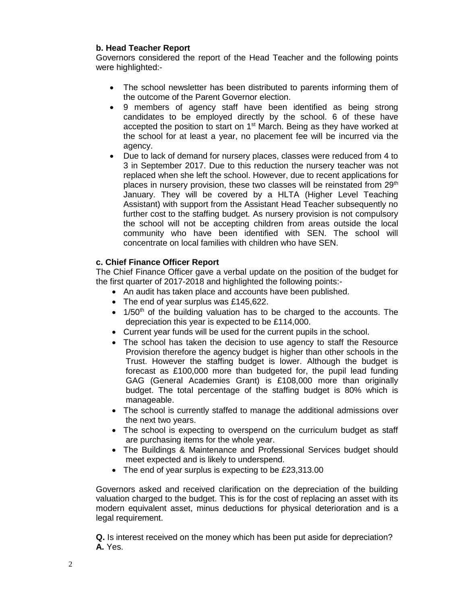# **b. Head Teacher Report**

Governors considered the report of the Head Teacher and the following points were highlighted:-

- The school newsletter has been distributed to parents informing them of the outcome of the Parent Governor election.
- 9 members of agency staff have been identified as being strong candidates to be employed directly by the school. 6 of these have accepted the position to start on 1<sup>st</sup> March. Being as they have worked at the school for at least a year, no placement fee will be incurred via the agency.
- Due to lack of demand for nursery places, classes were reduced from 4 to 3 in September 2017. Due to this reduction the nursery teacher was not replaced when she left the school. However, due to recent applications for places in nursery provision, these two classes will be reinstated from 29<sup>th</sup> January. They will be covered by a HLTA (Higher Level Teaching Assistant) with support from the Assistant Head Teacher subsequently no further cost to the staffing budget. As nursery provision is not compulsory the school will not be accepting children from areas outside the local community who have been identified with SEN. The school will concentrate on local families with children who have SEN.

# **c. Chief Finance Officer Report**

The Chief Finance Officer gave a verbal update on the position of the budget for the first quarter of 2017-2018 and highlighted the following points:-

- An audit has taken place and accounts have been published.
- The end of year surplus was £145,622.
- $1/50<sup>th</sup>$  of the building valuation has to be charged to the accounts. The depreciation this year is expected to be £114,000.
- Current year funds will be used for the current pupils in the school.
- The school has taken the decision to use agency to staff the Resource Provision therefore the agency budget is higher than other schools in the Trust. However the staffing budget is lower. Although the budget is forecast as £100,000 more than budgeted for, the pupil lead funding GAG (General Academies Grant) is £108,000 more than originally budget. The total percentage of the staffing budget is 80% which is manageable.
- The school is currently staffed to manage the additional admissions over the next two years.
- The school is expecting to overspend on the curriculum budget as staff are purchasing items for the whole year.
- The Buildings & Maintenance and Professional Services budget should meet expected and is likely to underspend.
- The end of year surplus is expecting to be £23,313.00

Governors asked and received clarification on the depreciation of the building valuation charged to the budget. This is for the cost of replacing an asset with its modern equivalent asset, minus deductions for physical deterioration and is a legal requirement.

**Q.** Is interest received on the money which has been put aside for depreciation? **A.** Yes.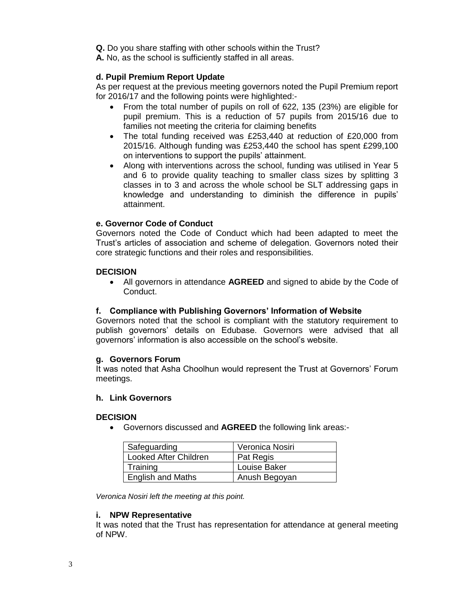**Q.** Do you share staffing with other schools within the Trust?

**A.** No, as the school is sufficiently staffed in all areas.

# **d. Pupil Premium Report Update**

As per request at the previous meeting governors noted the Pupil Premium report for 2016/17 and the following points were highlighted:-

- From the total number of pupils on roll of 622, 135 (23%) are eligible for pupil premium. This is a reduction of 57 pupils from 2015/16 due to families not meeting the criteria for claiming benefits
- The total funding received was £253,440 at reduction of £20,000 from 2015/16. Although funding was £253,440 the school has spent £299,100 on interventions to support the pupils' attainment.
- Along with interventions across the school, funding was utilised in Year 5 and 6 to provide quality teaching to smaller class sizes by splitting 3 classes in to 3 and across the whole school be SLT addressing gaps in knowledge and understanding to diminish the difference in pupils' attainment.

### **e. Governor Code of Conduct**

Governors noted the Code of Conduct which had been adapted to meet the Trust's articles of association and scheme of delegation. Governors noted their core strategic functions and their roles and responsibilities.

### **DECISION**

• All governors in attendance **AGREED** and signed to abide by the Code of Conduct.

#### **f. Compliance with Publishing Governors' Information of Website**

Governors noted that the school is compliant with the statutory requirement to publish governors' details on Edubase. Governors were advised that all governors' information is also accessible on the school's website.

#### **g. Governors Forum**

It was noted that Asha Choolhun would represent the Trust at Governors' Forum meetings.

### **h. Link Governors**

#### **DECISION**

• Governors discussed and **AGREED** the following link areas:-

| Safeguarding                 | Veronica Nosiri |
|------------------------------|-----------------|
| <b>Looked After Children</b> | Pat Regis       |
| Training                     | Louise Baker    |
| <b>English and Maths</b>     | Anush Begoyan   |

*Veronica Nosiri left the meeting at this point.*

#### **i. NPW Representative**

It was noted that the Trust has representation for attendance at general meeting of NPW.